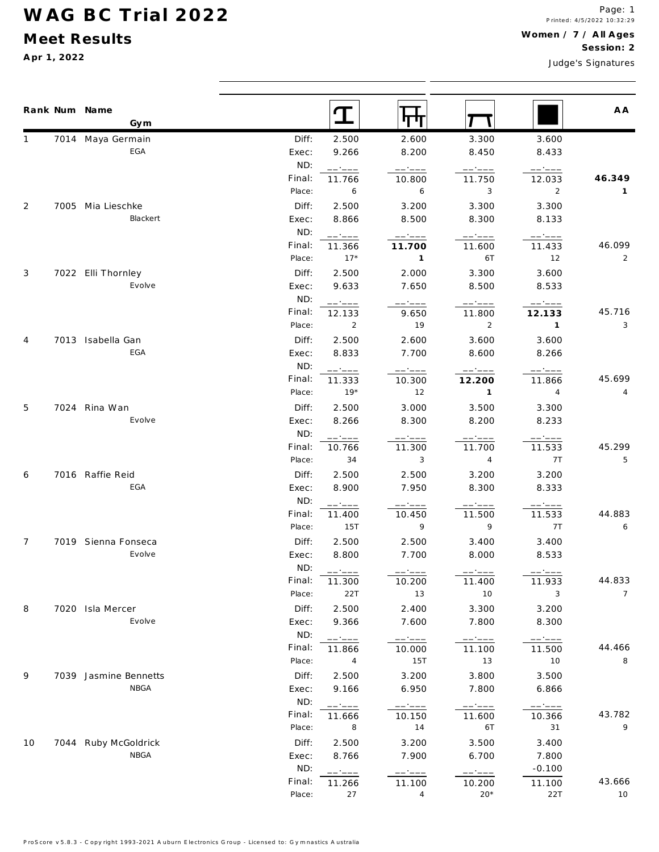#### Meet Results

Apr 1, 2022

Judge's Signatures

 $\mathbf T$ स्म Rank Num Name A A T Gym 7014 Maya Germain Diff:  $\mathbf{1}$ 2.500 2.600 3.300 3.600  $FGA$ Exec: 9.266 8.200 8.450 8.433  $ND:$ ----------------- $+$  -  $-$  -Final: 46.349 11.766 11.750 12.033 10.800 Place:  $\overline{3}$  $\overline{2}$ 6 6  $\overline{1}$  $\overline{2}$ Diff: 2.500 3.200 3.300 3.300 7005 Mia Lieschke Blackert Exec: 8.866 8.500 8.300 8.133 ND: ------------------ $-- - - -$ Final: 46.099 11.366 11.700 11.600 11.433 Place:  $17*$  $\mathbf{1}$ 6T 12  $\mathcal{L}$ 3 7022 Elli Thornley Diff: 2.500 2.000 3.300 3.600 Evolve Exec: 9.633 7.650 8.500 8.533 ND:  $-1 - 1$  $\begin{tabular}{ll} \multicolumn{2}{c}{\textbf{1} } \multicolumn{2}{c}{\textbf{2} } \multicolumn{2}{c}{\textbf{3} } \multicolumn{2}{c}{\textbf{4} } \multicolumn{2}{c}{\textbf{5} } \multicolumn{2}{c}{\textbf{6} } \multicolumn{2}{c}{\textbf{7} } \multicolumn{2}{c}{\textbf{8} } \multicolumn{2}{c}{\textbf{9} } \multicolumn{2}{c}{\textbf{1} } \multicolumn{2}{c}{\textbf{1} } \multicolumn{2}{c}{\textbf{1} } \multicolumn{2}{c}{\textbf{1} } \multicolumn$  $\frac{1}{2} \frac{1}{2} \left( \frac{1}{2} \frac{1}{2} \right) \frac{1}{2} \left( \frac{1}{2} \frac{1}{2} \right) \frac{1}{2} \left( \frac{1}{2} \right) \frac{1}{2} \frac{1}{2} \left( \frac{1}{2} \right) \frac{1}{2} \frac{1}{2} \frac{1}{2} \frac{1}{2} \frac{1}{2} \frac{1}{2} \frac{1}{2} \frac{1}{2} \frac{1}{2} \frac{1}{2} \frac{1}{2} \frac{1}{2} \frac{1}{2} \frac{1}{2} \frac{1}{2} \frac{1}{2}$  $\qquad \qquad \ \ \, - \, - \, - \, - \, -$ Final: 45.716 12.133 11.800 12.133 9.650 Place:  $\overline{2}$  $\overline{3}$  $\overline{2}$  $19$  $\overline{1}$  $\overline{4}$ 7013 Isabella Gan Diff: 2.500 2.600 3.600 3.600  $FGA$ Exec: 8.833 7.700 8.600 8.266  $ND:$ ------------------ $--- - - -$ Final: 45.699 11.333 10.300 12.200 11.866 Place:  $19*$  $\overline{4}$  $12$  $\overline{1}$  $\overline{4}$ Diff: 2.500 3.500 3.300 5 7024 Rina Wan 3.000 Evolve Exec: 8.266 8.300 8.200 8.233 ND:  $\frac{1}{1-\frac{1}{1-\frac{1}{1-\frac{1}{1-\frac{1}{1-\frac{1}{1-\frac{1}{1-\frac{1}{1-\frac{1}{1-\frac{1}{1-\frac{1}{1-\frac{1}{1-\frac{1}{1-\frac{1}{1-\frac{1}{1-\frac{1}{1-\frac{1}{1-\frac{1}{1-\frac{1}{1-\frac{1}{1-\frac{1}{1-\frac{1}{1-\frac{1}{1-\frac{1}{1-\frac{1}{1-\frac{1}{1-\frac{1}{1-\frac{1}{1-\frac{1}{1-\frac{1}{1-\frac{1}{1-\frac{1}{1-\frac{1}{1-\frac{1}{1-\frac{1}{1-\frac{1}{1-\frac{1$ ------------------Final: 45.299 10.766 11.300 11.700 11.533 Place: 34  $\overline{3}$  $\overline{4}$  $7T$ 5 7016 Raffie Reid Diff: 2.500 2.500 3.200 3.200 6  $FGA$ Exec: 8.900 7.950 8.300 8.333 ND: ------ $-$  -  $-$  -  $-$ ------------11.500 Final:  $11.533$ 44.883 11.400 10.450  $\overline{9}$  $\overline{9}$  $7T$  $PIaro<sup>2</sup>$ 15T 6  $\overline{7}$ 7019 Sienna Fonseca Diff: 2.500 2.500 3.400 3.400 Evolve 8.800 7.700 8.000 8.533 Exec:  $ND:$  $-$ ------44.833 Final: 10.200 11.933 11.300 11.400 Place:  $10$  $\overline{3}$  $22T$  $13$  $\overline{7}$ 7020 Isla Mercer Diff: 2.500 2.400 3.300 3.200  $\mathsf{R}$  $Fv_0Av_0$ 9.366 7.600 7.800 8.300 Exec: ND: ------------------------ $11.866$ Final: 10.000 11.100 11.500 44.466 Place:  $\Delta$ 15T  $13$  $10$  $\mathsf{R}$ 9 7039 Jasmine Bennetts Diff: 2.500 3.200 3.800 3.500 **NBGA** Exec: 9.166 6.950 7.800 6.866 ND: ------ $-2 - 1$ 43.782 Final: 11.666 10.150 11.600 10.366 Place:  $14$ 6T  $31$  $\overline{Q}$ 8 3.400  $10$ 7044 Ruby McGoldrick Diff: 2.500 3.200 3.500 **NRGA** Exec: 8.766 7.900 6.700 7.800 ND:  $-0.100$  $-$ Final: 43.666 11.266 11.100 10.200 11.100 Place: 27  $\overline{4}$  $20*$  $22T$  $10$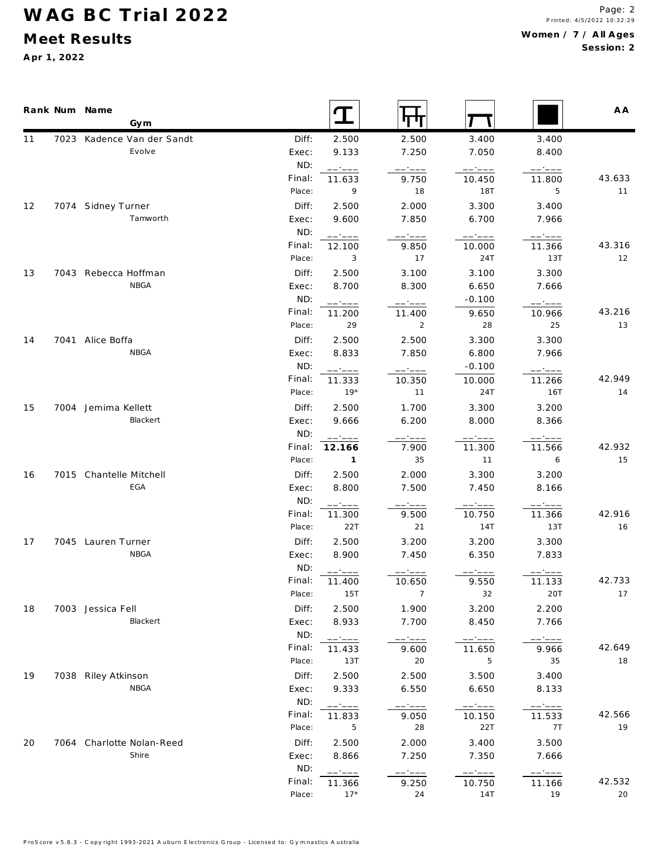### Meet Results

Apr 1, 2022

|    | Rank Num Name                      |                  |                                                                                                                                                                                                                                                                                                                                                                                                                                                                                                        |                          |                             |                  | A A          |
|----|------------------------------------|------------------|--------------------------------------------------------------------------------------------------------------------------------------------------------------------------------------------------------------------------------------------------------------------------------------------------------------------------------------------------------------------------------------------------------------------------------------------------------------------------------------------------------|--------------------------|-----------------------------|------------------|--------------|
|    | Gym                                |                  | $\mathbf T$                                                                                                                                                                                                                                                                                                                                                                                                                                                                                            | पाप                      |                             |                  |              |
| 11 | 7023 Kadence Van der Sandt         | Diff:            | 2.500                                                                                                                                                                                                                                                                                                                                                                                                                                                                                                  | 2.500                    | 3.400                       | 3.400            |              |
|    | Evolve                             | Exec:            | 9.133                                                                                                                                                                                                                                                                                                                                                                                                                                                                                                  | 7.250                    | 7.050                       | 8.400            |              |
|    |                                    | ND:              | -----                                                                                                                                                                                                                                                                                                                                                                                                                                                                                                  | — • ———                  | ------                      | ------           |              |
|    |                                    | Final:           | 11.633                                                                                                                                                                                                                                                                                                                                                                                                                                                                                                 | 9.750                    | 10.450                      | 11.800           | 43.633       |
|    |                                    | Place:           | 9                                                                                                                                                                                                                                                                                                                                                                                                                                                                                                      | 18                       | 18T                         | 5                | 11           |
| 12 | 7074 Sidney Turner                 | Diff:            | 2.500                                                                                                                                                                                                                                                                                                                                                                                                                                                                                                  | 2.000                    | 3.300                       | 3.400            |              |
|    | Tamworth                           | Exec:            | 9.600                                                                                                                                                                                                                                                                                                                                                                                                                                                                                                  | 7.850                    | 6.700                       | 7.966            |              |
|    |                                    | ND:              | ------                                                                                                                                                                                                                                                                                                                                                                                                                                                                                                 | $   -$                   | ------                      | ------           |              |
|    |                                    | Final:           | 12.100                                                                                                                                                                                                                                                                                                                                                                                                                                                                                                 | 9.850                    | 10.000                      | 11.366           | 43.316       |
|    |                                    | Place:           | 3                                                                                                                                                                                                                                                                                                                                                                                                                                                                                                      | 17                       | 24T                         | 13T              | 12           |
| 13 | 7043 Rebecca Hoffman<br>NBGA       | Diff:            | 2.500                                                                                                                                                                                                                                                                                                                                                                                                                                                                                                  | 3.100                    | 3.100                       | 3.300            |              |
|    |                                    | Exec:<br>ND:     | 8.700                                                                                                                                                                                                                                                                                                                                                                                                                                                                                                  | 8.300                    | 6.650                       | 7.666            |              |
|    |                                    | Final:           | -----                                                                                                                                                                                                                                                                                                                                                                                                                                                                                                  | -----                    | $-0.100$                    | $   -$           | 43.216       |
|    |                                    | Place:           | 11.200<br>29                                                                                                                                                                                                                                                                                                                                                                                                                                                                                           | 11.400<br>$\overline{2}$ | 9.650<br>28                 | 10.966<br>25     | 13           |
|    | 7041 Alice Boffa                   | Diff:            | 2.500                                                                                                                                                                                                                                                                                                                                                                                                                                                                                                  | 2.500                    | 3.300                       | 3.300            |              |
| 14 | NBGA                               | Exec:            | 8.833                                                                                                                                                                                                                                                                                                                                                                                                                                                                                                  | 7.850                    | 6.800                       | 7.966            |              |
|    |                                    | ND:              |                                                                                                                                                                                                                                                                                                                                                                                                                                                                                                        |                          | $-0.100$                    |                  |              |
|    |                                    | Final:           | ------<br>11.333                                                                                                                                                                                                                                                                                                                                                                                                                                                                                       | ------<br>10.350         | 10.000                      | ------<br>11.266 | 42.949       |
|    |                                    | Place:           | $19*$                                                                                                                                                                                                                                                                                                                                                                                                                                                                                                  | 11                       | 24T                         | 16T              | 14           |
| 15 | 7004 Jemima Kellett                | Diff:            | 2.500                                                                                                                                                                                                                                                                                                                                                                                                                                                                                                  | 1.700                    | 3.300                       | 3.200            |              |
|    | Blackert                           | Exec:            | 9.666                                                                                                                                                                                                                                                                                                                                                                                                                                                                                                  | 6.200                    | 8.000                       | 8.366            |              |
|    |                                    | ND:              |                                                                                                                                                                                                                                                                                                                                                                                                                                                                                                        |                          | -----                       | - - - - -        |              |
|    |                                    | Final:           | 12.166                                                                                                                                                                                                                                                                                                                                                                                                                                                                                                 | $ -$<br>7.900            | 11.300                      | 11.566           | 42.932       |
|    |                                    | Place:           | $\sim$ 1                                                                                                                                                                                                                                                                                                                                                                                                                                                                                               | 35                       | 11                          | 6                | 15           |
| 16 | 7015 Chantelle Mitchell            | Diff:            | 2.500                                                                                                                                                                                                                                                                                                                                                                                                                                                                                                  | 2.000                    | 3.300                       | 3.200            |              |
|    | EGA                                | Exec:            | 8.800                                                                                                                                                                                                                                                                                                                                                                                                                                                                                                  | 7.500                    | 7.450                       | 8.166            |              |
|    |                                    | ND:              | ------                                                                                                                                                                                                                                                                                                                                                                                                                                                                                                 |                          |                             |                  |              |
|    |                                    | Final:           | 11.300                                                                                                                                                                                                                                                                                                                                                                                                                                                                                                 | 9.500                    | 10.750                      | 11.366           | 42.916       |
|    |                                    | Place:           | 22T                                                                                                                                                                                                                                                                                                                                                                                                                                                                                                    | 21                       | 14T                         | 13T              | 16           |
| 17 | 7045 Lauren Turner                 | Diff:            | 2.500                                                                                                                                                                                                                                                                                                                                                                                                                                                                                                  | 3.200                    | 3.200                       | 3.300            |              |
|    | NBGA                               | Exec:            | 8.900                                                                                                                                                                                                                                                                                                                                                                                                                                                                                                  | 7.450                    | 6.350                       | 7.833            |              |
|    |                                    | ND:              |                                                                                                                                                                                                                                                                                                                                                                                                                                                                                                        |                          |                             |                  |              |
|    |                                    | Final:           | 11.400                                                                                                                                                                                                                                                                                                                                                                                                                                                                                                 | 10.650                   | 9.550                       | 11.133           | 42.733       |
|    |                                    | Place:           | 15T                                                                                                                                                                                                                                                                                                                                                                                                                                                                                                    | $\overline{7}$           | 32                          | 20T              | 17           |
| 18 | 7003 Jessica Fell                  | Diff:            | 2.500                                                                                                                                                                                                                                                                                                                                                                                                                                                                                                  | 1.900                    | 3.200                       | 2.200            |              |
|    | Blackert                           | Exec:            | 8.933                                                                                                                                                                                                                                                                                                                                                                                                                                                                                                  | 7.700                    | 8.450                       | 7.766            |              |
|    |                                    | ND:              | ------                                                                                                                                                                                                                                                                                                                                                                                                                                                                                                 | ------                   | ------                      | ------           |              |
|    |                                    | Final:           | 11.433                                                                                                                                                                                                                                                                                                                                                                                                                                                                                                 | 9.600                    | 11.650                      | 9.966            | 42.649       |
|    |                                    | Place:           | 13T                                                                                                                                                                                                                                                                                                                                                                                                                                                                                                    | 20                       | 5                           | 35               | 18           |
| 19 | 7038 Riley Atkinson                | Diff:            | 2.500                                                                                                                                                                                                                                                                                                                                                                                                                                                                                                  | 2.500                    | 3.500                       | 3.400            |              |
|    | NBGA                               | Exec:            | 9.333                                                                                                                                                                                                                                                                                                                                                                                                                                                                                                  | 6.550                    | 6.650                       | 8.133            |              |
|    |                                    | ND:              | ------                                                                                                                                                                                                                                                                                                                                                                                                                                                                                                 | $----$                   | $\qquad \qquad -- -- -- --$ | ------           |              |
|    |                                    | Final:<br>Place: | 11.833                                                                                                                                                                                                                                                                                                                                                                                                                                                                                                 | 9.050<br>28              | 10.150<br>22T               | 11.533           | 42.566<br>19 |
|    |                                    |                  | 5                                                                                                                                                                                                                                                                                                                                                                                                                                                                                                      |                          |                             | 7T               |              |
| 20 | 7064 Charlotte Nolan-Reed<br>Shire | Diff:<br>Exec:   | 2.500<br>8.866                                                                                                                                                                                                                                                                                                                                                                                                                                                                                         | 2.000<br>7.250           | 3.400<br>7.350              | 3.500<br>7.666   |              |
|    |                                    | ND:              |                                                                                                                                                                                                                                                                                                                                                                                                                                                                                                        |                          |                             |                  |              |
|    |                                    | Final:           | $\begin{tabular}{ll} \multicolumn{2}{c} {\textbf{1}} & \multicolumn{2}{c} {\textbf{2}} & \multicolumn{2}{c} {\textbf{3}} & \multicolumn{2}{c} {\textbf{4}} & \multicolumn{2}{c} {\textbf{5}} & \multicolumn{2}{c} {\textbf{6}} & \multicolumn{2}{c} {\textbf{7}} & \multicolumn{2}{c} {\textbf{8}} & \multicolumn{2}{c} {\textbf{9}} & \multicolumn{2}{c} {\textbf{1}} & \multicolumn{2}{c} {\textbf{1}} & \multicolumn{2}{c} {\textbf{1}} & \multicolumn{2}{c} {\textbf{1}} & \multicolumn$<br>11.366 | $-- - - -$<br>9.250      | $--- - - - -$<br>10.750     | ------<br>11.166 | 42.532       |
|    |                                    | Place:           | $17*$                                                                                                                                                                                                                                                                                                                                                                                                                                                                                                  | 24                       | 14T                         | 19               | 20           |
|    |                                    |                  |                                                                                                                                                                                                                                                                                                                                                                                                                                                                                                        |                          |                             |                  |              |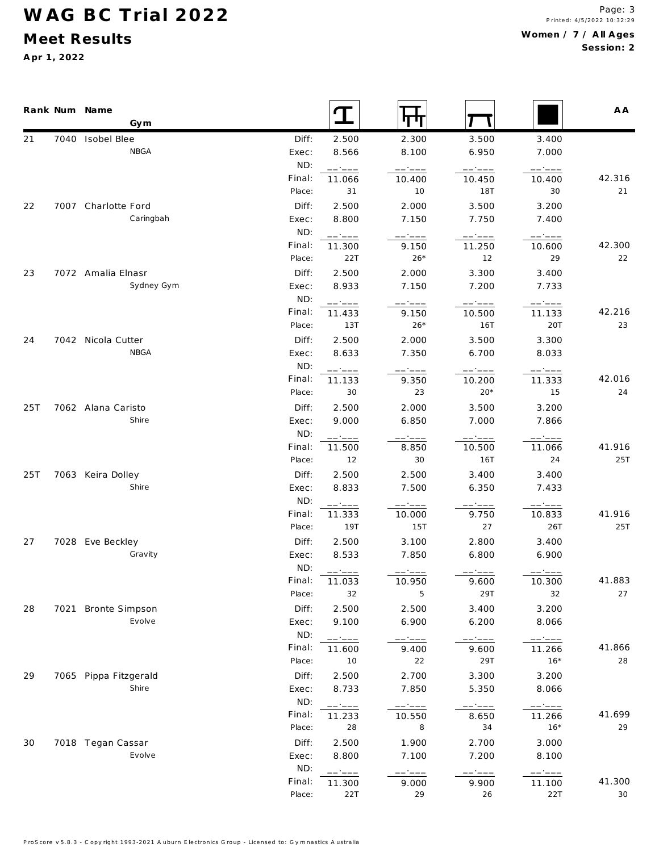### **M eet Results**

**A pr 1, 2022**

|     | Rank Num Name<br>Gym       |                | <b>T</b>            |                 |                  |                 | A A    |
|-----|----------------------------|----------------|---------------------|-----------------|------------------|-----------------|--------|
| 21  | 7040 Isobel Blee           | Diff:          | 2.500               | 2.300           | 3.500            | 3.400           |        |
|     | NBGA                       | Exec:          | 8.566               | 8.100           | 6.950            | 7.000           |        |
|     |                            | ND:            | $------$            |                 | ------           | ------          |        |
|     |                            | Final:         | 11.066              | 10.400          | 10.450           | 10.400          | 42.316 |
|     |                            | Place:         | 31                  | 10              | 18T              | 30              | 21     |
| 22  | 7007 Charlotte Ford        | Diff:          | 2.500               | 2.000           | 3.500            | 3.200           |        |
|     | Caringbah                  | Exec:          | 8.800               | 7.150           | 7.750            | 7.400           |        |
|     |                            | ND:            | ------              | ------          | $----$           | ------          |        |
|     |                            | Final:         | 11.300              | 9.150           | 11.250           | 10.600          | 42.300 |
|     |                            | Place:         | 22T                 | $26*$           | 12               | 29              | 22     |
| 23  | 7072 Amalia Elnasr         | Diff:          | 2.500               | 2.000           | 3.300            | 3.400           |        |
|     | Sydney Gym                 | Exec:          | 8.933               | 7.150           | 7.200            | 7.733           |        |
|     |                            | ND:<br>Final:  | ------              | ------          | ------           | ------          | 42.216 |
|     |                            | Place:         | 11.433<br>13T       | 9.150<br>$26*$  | 10.500<br>16T    | 11.133<br>20T   | 23     |
|     |                            |                | 2.500               |                 |                  |                 |        |
| 24  | 7042 Nicola Cutter<br>NBGA | Diff:<br>Exec: | 8.633               | 2.000<br>7.350  | 3.500<br>6.700   | 3.300<br>8.033  |        |
|     |                            | ND:            |                     |                 |                  |                 |        |
|     |                            | Final:         | ------<br>11.133    | ------<br>9.350 | ------<br>10.200 | -----<br>11.333 | 42.016 |
|     |                            | Place:         | 30                  | 23              | $20*$            | 15              | 24     |
| 25T | 7062 Alana Caristo         | Diff:          | 2.500               | 2.000           | 3.500            | 3.200           |        |
|     | Shire                      | Exec:          | 9.000               | 6.850           | 7.000            | 7.866           |        |
|     |                            | ND:            |                     |                 |                  |                 |        |
|     |                            | Final:         | - - - - -<br>11.500 | 8.850           | 10.500           | 11.066          | 41.916 |
|     |                            | Place:         | 12                  | 30              | 16T              | 24              | 25T    |
| 25T | 7063 Keira Dolley          | Diff:          | 2.500               | 2.500           | 3.400            | 3.400           |        |
|     | Shire                      | Exec:          | 8.833               | 7.500           | 6.350            | 7.433           |        |
|     |                            | ND:            | ------              | -----           | -----            | $---:---$       |        |
|     |                            | Final:         | 11.333              | 10.000          | 9.750            | 10.833          | 41.916 |
|     |                            | Place:         | 19T                 | 15T             | 27               | 26T             | 25T    |
| 27  | 7028 Eve Beckley           | Diff:          | 2.500               | 3.100           | 2.800            | 3.400           |        |
|     | Gravity                    | Exec:          | 8.533               | 7.850           | 6.800            | 6.900           |        |
|     |                            | ND:            | ------              |                 |                  |                 |        |
|     |                            | Final:         | 11.033              | 10.950          | 9.600            | 10.300          | 41.883 |
|     |                            | Place:         | 32                  | 5               | 29T              | 32              | 27     |
| 28  | 7021 Bronte Simpson        | Diff:          | 2.500               | 2.500           | 3.400            | 3.200           |        |
|     | Evolve                     | Exec:          | 9.100               | 6.900           | 6.200            | 8.066           |        |
|     |                            | ND:            | ------              | ------          |                  | -----           |        |
|     |                            | Final:         | 11.600              | 9.400           | 9.600            | 11.266          | 41.866 |
|     |                            | Place:         | 10                  | 22              | 29T              | $16*$           | 28     |
| 29  | 7065 Pippa Fitzgerald      | Diff:          | 2.500               | 2.700           | 3.300            | 3.200           |        |
|     | Shire                      | Exec:          | 8.733               | 7.850           | 5.350            | 8.066           |        |
|     |                            | ND:            | ------              | $  -$           | —————            | $--- - - - -$   |        |
|     |                            | Final:         | 11.233              | 10.550          | 8.650            | 11.266          | 41.699 |
|     |                            | Place:         | 28                  | 8               | 34               | $16*$           | 29     |
| 30  | 7018 Tegan Cassar          | Diff:          | 2.500               | 1.900           | 2.700            | 3.000           |        |
|     | Evolve                     | Exec:          | 8.800               | 7.100           | 7.200            | 8.100           |        |
|     |                            | ND:            | ------              | -----           | ----             | ------          |        |
|     |                            | Final:         | 11.300              | 9.000           | 9.900            | 11.100          | 41.300 |
|     |                            | Place:         | 22T                 | 29              | 26               | 22T             | 30     |